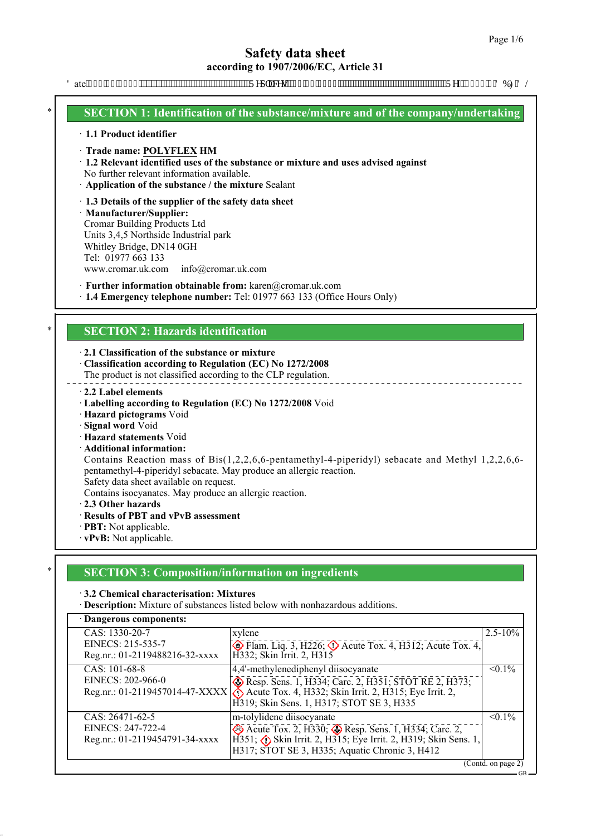GB

# **Safety data sheet according to 1907/2006/EC, Article 31**

Fate<440250423: """"""""""""""""""""""""""Tgr regu<"4: 02704236"""""""""""""""""""""""""""Tgh<2478060FDHFN

## **SECTION 1: Identification of the substance/mixture and of the company/undertaking**

#### · **1.1 Product identifier**

#### · **Trade name: POLYFLEX HM**

· **1.2 Relevant identified uses of the substance or mixture and uses advised against**

No further relevant information available.

· **Application of the substance / the mixture** Sealant

#### · **1.3 Details of the supplier of the safety data sheet**

· **Manufacturer/Supplier:** Cromar Building Products Ltd Units 3,4,5 Northside Industrial park Whitley Bridge, DN14 0GH Tel: 01977 663 133 www.cromar.uk.com info@cromar.uk.com

· **Further information obtainable from:** karen@cromar.uk.com

· **1.4 Emergency telephone number:** Tel: 01977 663 133 (Office Hours Only)

## **SECTION 2: Hazards identification**

· **2.1 Classification of the substance or mixture**

· **Classification according to Regulation (EC) No 1272/2008**

The product is not classified according to the CLP regulation.

#### · **2.2 Label elements**

- · **Labelling according to Regulation (EC) No 1272/2008** Void
- · **Hazard pictograms** Void
- · **Signal word** Void
- · **Hazard statements** Void
- · **Additional information:**

Contains Reaction mass of Bis(1,2,2,6,6-pentamethyl-4-piperidyl) sebacate and Methyl 1,2,2,6,6 pentamethyl-4-piperidyl sebacate. May produce an allergic reaction. Safety data sheet available on request.

Contains isocyanates. May produce an allergic reaction.

- · **2.3 Other hazards**
- · **Results of PBT and vPvB assessment**
- · **PBT:** Not applicable.
- · **vPvB:** Not applicable.

## \* **SECTION 3: Composition/information on ingredients**

#### · **3.2 Chemical characterisation: Mixtures**

· **Description:** Mixture of substances listed below with nonhazardous additions.

| · Dangerous components:                                                  |                                                                                                                                                                                                                                     |              |  |
|--------------------------------------------------------------------------|-------------------------------------------------------------------------------------------------------------------------------------------------------------------------------------------------------------------------------------|--------------|--|
| CAS: 1330-20-7<br>EINECS: 215-535-7<br>Reg.nr.: 01-2119488216-32-xxxx    | xylene<br>$\circled{$ Flam. Liq. 3, H226; $\circled{}$ Acute Tox. 4, H312; Acute Tox. 4,<br>H332; Skin Irrit. 2, H315                                                                                                               | $2.5 - 10\%$ |  |
| $CAS: 101-68-8$<br>EINECS: 202-966-0                                     | 4,4'-methylenediphenyl diisocyanate<br>Resp. Sens. 1, H334; Carc. 2, H351; STOT RE 2, H373;<br>Reg.nr.: 01-2119457014-47-XXXX & Acute Tox. 4, H332; Skin Irrit. 2, H315; Eye Irrit. 2,<br>H319; Skin Sens. 1, H317; STOT SE 3, H335 | $< 0.1\%$    |  |
| $CAS: 26471-62-5$<br>EINECS: 247-722-4<br>Reg.nr.: 01-2119454791-34-xxxx | m-tolylidene diisocyanate<br>Acute Tox. 2, H330; Resp. Sens. 1, H334; Carc. 2,<br>$H351$ ; $\langle \cdot \rangle$ Skin Irrit. 2, H315; Eye Irrit. 2, H319; Skin Sens. 1,<br>H317; STOT SE 3, H335; Aquatic Chronic 3, H412         | $< 0.1\%$    |  |
| (Contd. on page 2)                                                       |                                                                                                                                                                                                                                     |              |  |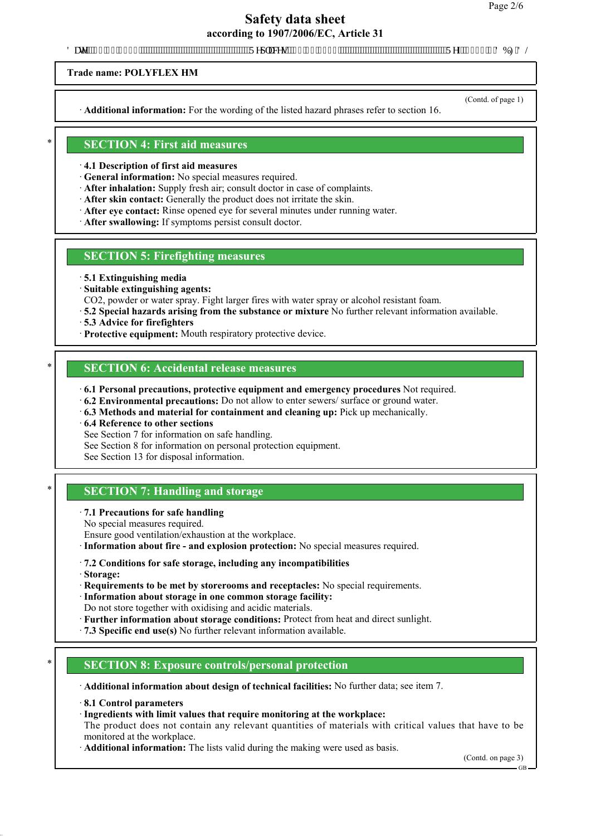# **Safety data sheet**

**according to 1907/2006/EC, Article 31**

'DWH5HSODFHV5HI'%)'/

**Trade name: POLYFLEX HM** 

· **Additional information:** For the wording of the listed hazard phrases refer to section 16.

(Contd. of page 1)

#### \* **SECTION 4: First aid measures**

· **4.1 Description of first aid measures**

· **General information:** No special measures required.

- · **After inhalation:** Supply fresh air; consult doctor in case of complaints.
- · **After skin contact:** Generally the product does not irritate the skin.
- · **After eye contact:** Rinse opened eye for several minutes under running water.
- · **After swallowing:** If symptoms persist consult doctor.

#### **SECTION 5: Firefighting measures**

- · **5.1 Extinguishing media**
- · **Suitable extinguishing agents:**

CO2, powder or water spray. Fight larger fires with water spray or alcohol resistant foam.

- · **5.2 Special hazards arising from the substance or mixture** No further relevant information available.
- · **5.3 Advice for firefighters**
- · **Protective equipment:** Mouth respiratory protective device.

# **SECTION 6: Accidental release measures**

- · **6.1 Personal precautions, protective equipment and emergency procedures** Not required.
- · **6.2 Environmental precautions:** Do not allow to enter sewers/ surface or ground water.
- · **6.3 Methods and material for containment and cleaning up:** Pick up mechanically.
- · **6.4 Reference to other sections**
- See Section 7 for information on safe handling.
- See Section 8 for information on personal protection equipment.
- See Section 13 for disposal information.

# **SECTION 7: Handling and storage**

- · **7.1 Precautions for safe handling**
- No special measures required.

Ensure good ventilation/exhaustion at the workplace.

- · **Information about fire and explosion protection:** No special measures required.
- · **7.2 Conditions for safe storage, including any incompatibilities**
- · **Storage:**
- · **Requirements to be met by storerooms and receptacles:** No special requirements.
- · **Information about storage in one common storage facility:**

Do not store together with oxidising and acidic materials.

- · **Further information about storage conditions:** Protect from heat and direct sunlight.
- · **7.3 Specific end use(s)** No further relevant information available.

## \* **SECTION 8: Exposure controls/personal protection**

· **Additional information about design of technical facilities:** No further data; see item 7.

- · **8.1 Control parameters**
- · **Ingredients with limit values that require monitoring at the workplace:**

The product does not contain any relevant quantities of materials with critical values that have to be monitored at the workplace.

· **Additional information:** The lists valid during the making were used as basis.

(Contd. on page 3)

GB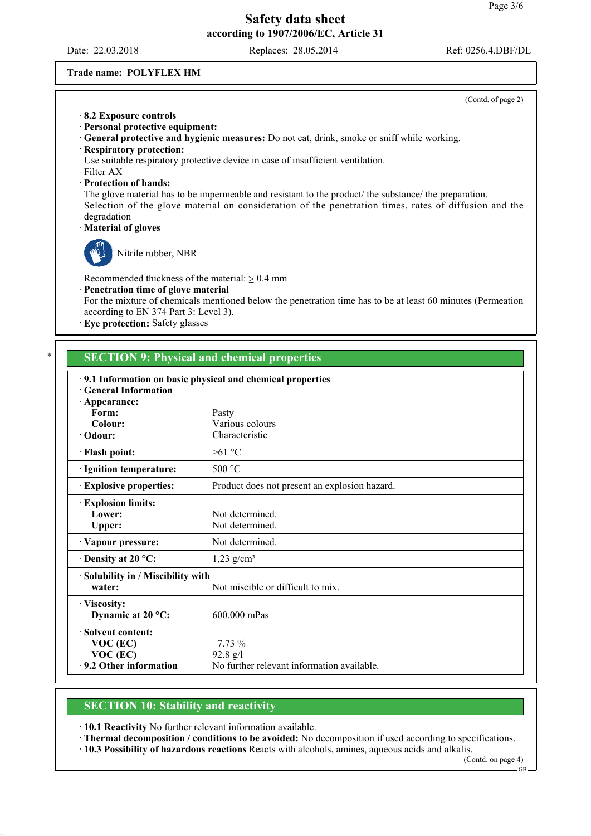Date: 22.03.2018 Replaces: 28.05.2014 Ref: 0256.4.DBF/DL

#### **Trade name: POLYFLEX HM**

|                                                                                                                                                                                              | (Contd. of page 2)                                                                                                                                                                                                                                                                                                                                                                               |
|----------------------------------------------------------------------------------------------------------------------------------------------------------------------------------------------|--------------------------------------------------------------------------------------------------------------------------------------------------------------------------------------------------------------------------------------------------------------------------------------------------------------------------------------------------------------------------------------------------|
| 8.2 Exposure controls<br>Personal protective equipment:<br>· Respiratory protection:<br>Filter AX<br>· Protection of hands:<br>degradation<br>· Material of gloves                           | General protective and hygienic measures: Do not eat, drink, smoke or sniff while working.<br>Use suitable respiratory protective device in case of insufficient ventilation.<br>The glove material has to be impermeable and resistant to the product/ the substance/ the preparation.<br>Selection of the glove material on consideration of the penetration times, rates of diffusion and the |
| Nitrile rubber, NBR<br>Recommended thickness of the material: $\geq 0.4$ mm<br>Penetration time of glove material<br>according to EN 374 Part 3: Level 3).<br>Eye protection: Safety glasses | For the mixture of chemicals mentioned below the penetration time has to be at least 60 minutes (Permeation                                                                                                                                                                                                                                                                                      |
| <b>General Information</b>                                                                                                                                                                   | <b>SECTION 9: Physical and chemical properties</b><br>.9.1 Information on basic physical and chemical properties                                                                                                                                                                                                                                                                                 |
| · Appearance:<br>Form:<br>Colour:<br>· Odour:                                                                                                                                                | Pasty<br>Various colours<br>Characteristic                                                                                                                                                                                                                                                                                                                                                       |
| · Flash point:                                                                                                                                                                               | $>61$ °C                                                                                                                                                                                                                                                                                                                                                                                         |
| · Ignition temperature:                                                                                                                                                                      | 500 °C                                                                                                                                                                                                                                                                                                                                                                                           |
| <b>Explosive properties:</b>                                                                                                                                                                 | Product does not present an explosion hazard.                                                                                                                                                                                                                                                                                                                                                    |
| <b>Explosion limits:</b><br>Lower:<br><b>Upper:</b>                                                                                                                                          | Not determined.<br>Not determined.                                                                                                                                                                                                                                                                                                                                                               |
| Vapour pressure:                                                                                                                                                                             | Not determined.                                                                                                                                                                                                                                                                                                                                                                                  |
| Density at 20 °C:                                                                                                                                                                            | $1,23$ g/cm <sup>3</sup>                                                                                                                                                                                                                                                                                                                                                                         |
| · Solubility in / Miscibility with<br>water:                                                                                                                                                 | Not miscible or difficult to mix.                                                                                                                                                                                                                                                                                                                                                                |
| Viscosity:<br>Dynamic at 20 °C:                                                                                                                                                              | 600.000 mPas                                                                                                                                                                                                                                                                                                                                                                                     |
| · Solvent content:<br>$VOC$ (EC)                                                                                                                                                             | 7.73 %                                                                                                                                                                                                                                                                                                                                                                                           |

**SECTION 10: Stability and reactivity**

**VOC (EC)** 92.8 g/l

· **10.1 Reactivity** No further relevant information available.

· **9.2 Other information** No further relevant information available.

· **Thermal decomposition / conditions to be avoided:** No decomposition if used according to specifications.

· **10.3 Possibility of hazardous reactions** Reacts with alcohols, amines, aqueous acids and alkalis.

(Contd. on page 4)

GB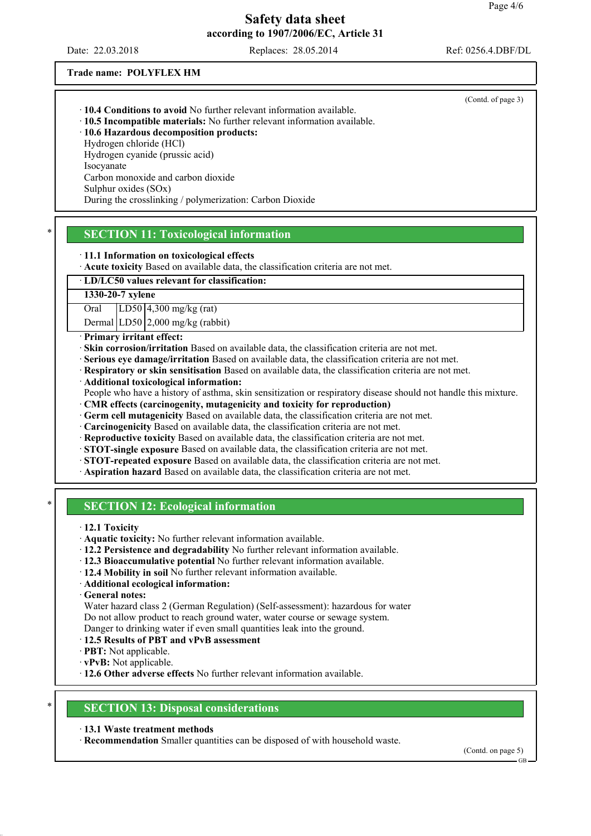Date: 22.03.2018 Replaces: 28.05.2014 Ref: 0256.4.DBF/DL

(Contd. of page 3)

**Trade name: POLYFLEX HM** 

|  |  |  | 10.4 Conditions to avoid No further relevant information available. |  |
|--|--|--|---------------------------------------------------------------------|--|
|  |  |  |                                                                     |  |

· **10.5 Incompatible materials:** No further relevant information available. · **10.6 Hazardous decomposition products:**

Hydrogen chloride (HCl)

Hydrogen cyanide (prussic acid)

Isocyanate

Carbon monoxide and carbon dioxide

Sulphur oxides (SOx)

During the crosslinking / polymerization: Carbon Dioxide

# **SECTION 11: Toxicological information**

· **11.1 Information on toxicological effects**

· **Acute toxicity** Based on available data, the classification criteria are not met.

## · **LD/LC50 values relevant for classification:**

**1330-20-7 xylene**

Oral LD50 4,300 mg/kg (rat)

Dermal LD50 2,000 mg/kg (rabbit)

· **Primary irritant effect:**

· **Skin corrosion/irritation** Based on available data, the classification criteria are not met.

- · **Serious eye damage/irritation** Based on available data, the classification criteria are not met.
- · **Respiratory or skin sensitisation** Based on available data, the classification criteria are not met.
- · **Additional toxicological information:**

People who have a history of asthma, skin sensitization or respiratory disease should not handle this mixture.

- · **CMR effects (carcinogenity, mutagenicity and toxicity for reproduction)**
- · **Germ cell mutagenicity** Based on available data, the classification criteria are not met.
- · **Carcinogenicity** Based on available data, the classification criteria are not met.
- · **Reproductive toxicity** Based on available data, the classification criteria are not met.
- · **STOT-single exposure** Based on available data, the classification criteria are not met.
- · **STOT-repeated exposure** Based on available data, the classification criteria are not met.
- · **Aspiration hazard** Based on available data, the classification criteria are not met.

# **SECTION 12: Ecological information**

- · **12.1 Toxicity**
- · **Aquatic toxicity:** No further relevant information available.
- · **12.2 Persistence and degradability** No further relevant information available.
- · **12.3 Bioaccumulative potential** No further relevant information available.
- · **12.4 Mobility in soil** No further relevant information available.
- · **Additional ecological information:**
- · **General notes:**

Water hazard class 2 (German Regulation) (Self-assessment): hazardous for water Do not allow product to reach ground water, water course or sewage system.

- Danger to drinking water if even small quantities leak into the ground.
- · **12.5 Results of PBT and vPvB assessment**
- · **PBT:** Not applicable.
- · **vPvB:** Not applicable.
- · **12.6 Other adverse effects** No further relevant information available.

## **SECTION 13: Disposal considerations**

- · **13.1 Waste treatment methods**
- · **Recommendation** Smaller quantities can be disposed of with household waste.

(Contd. on page 5)

GB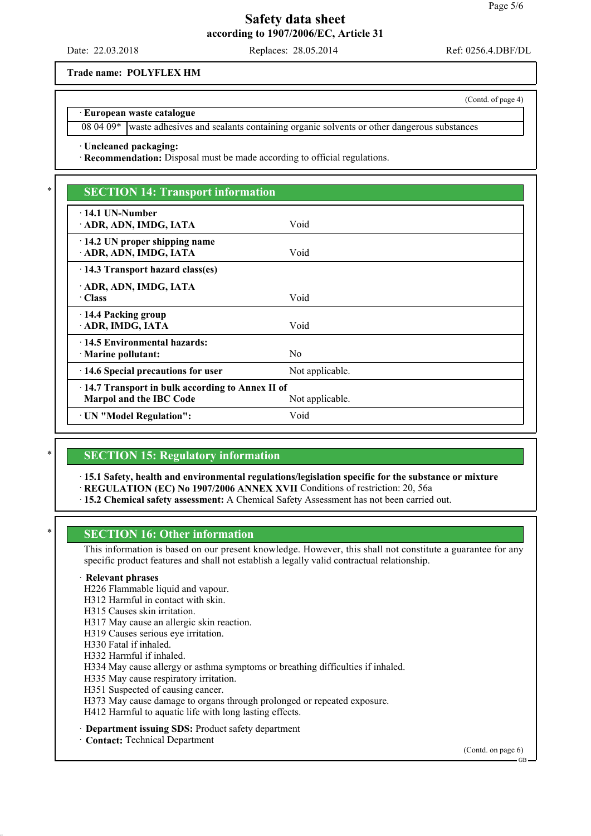Date: 22.03.2018 Replaces: 28.05.2014 Ref: 0256.4.DBF/DL

**Trade name: POLYFLEX HM**

#### · **European waste catalogue**

08 04 09\* waste adhesives and sealants containing organic solvents or other dangerous substances

· **Uncleaned packaging:**

· **Recommendation:** Disposal must be made according to official regulations.

# **SECTION 14: Transport information**

| 14.1 UN-Number                                  |                 |  |  |  |
|-------------------------------------------------|-----------------|--|--|--|
| ADR, ADN, IMDG, IATA                            | Void            |  |  |  |
|                                                 |                 |  |  |  |
| 14.2 UN proper shipping name                    |                 |  |  |  |
|                                                 |                 |  |  |  |
| ADR, ADN, IMDG, IATA                            | Void            |  |  |  |
| 14.3 Transport hazard class(es)                 |                 |  |  |  |
|                                                 |                 |  |  |  |
| ADR, ADN, IMDG, IATA                            |                 |  |  |  |
| · Class                                         | Void            |  |  |  |
|                                                 |                 |  |  |  |
| 14.4 Packing group                              |                 |  |  |  |
| ADR, IMDG, IATA                                 | Void            |  |  |  |
|                                                 |                 |  |  |  |
| 14.5 Environmental hazards:                     |                 |  |  |  |
| Marine pollutant:                               | N <sub>0</sub>  |  |  |  |
|                                                 |                 |  |  |  |
| 14.6 Special precautions for user               | Not applicable. |  |  |  |
|                                                 |                 |  |  |  |
| 14.7 Transport in bulk according to Annex II of |                 |  |  |  |
| <b>Marpol and the IBC Code</b>                  | Not applicable. |  |  |  |
|                                                 |                 |  |  |  |
| · UN "Model Regulation":                        | Void            |  |  |  |
|                                                 |                 |  |  |  |

## **SECTION 15: Regulatory information**

· **15.1 Safety, health and environmental regulations/legislation specific for the substance or mixture**

- · **REGULATION (EC) No 1907/2006 ANNEX XVII** Conditions of restriction: 20, 56a
- · **15.2 Chemical safety assessment:** A Chemical Safety Assessment has not been carried out.

## **SECTION 16: Other information**

This information is based on our present knowledge. However, this shall not constitute a guarantee for any specific product features and shall not establish a legally valid contractual relationship.

#### · **Relevant phrases**

H226 Flammable liquid and vapour.

H312 Harmful in contact with skin.

- H315 Causes skin irritation.
- H317 May cause an allergic skin reaction.
- H319 Causes serious eye irritation.

H330 Fatal if inhaled.

H332 Harmful if inhaled.

H334 May cause allergy or asthma symptoms or breathing difficulties if inhaled.

H335 May cause respiratory irritation.

H351 Suspected of causing cancer.

H373 May cause damage to organs through prolonged or repeated exposure.

H412 Harmful to aquatic life with long lasting effects.

- **Department issuing SDS: Product safety department**
- **Contact: Technical Department**

(Contd. on page 6)

(Contd. of page 4)

GB